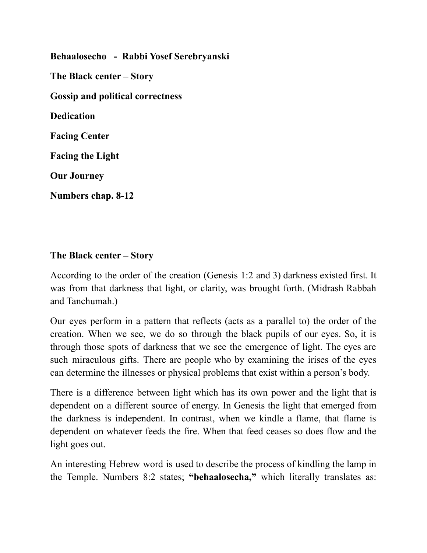**Behaalosecho - Rabbi Yosef Serebryanski The Black center – Story Gossip and political correctness Dedication Facing Center Facing the Light Our Journey Numbers chap. 8-12**

#### **The Black center – Story**

According to the order of the creation (Genesis 1:2 and 3) darkness existed first. It was from that darkness that light, or clarity, was brought forth. (Midrash Rabbah and Tanchumah.)

Our eyes perform in a pattern that reflects (acts as a parallel to) the order of the creation. When we see, we do so through the black pupils of our eyes. So, it is through those spots of darkness that we see the emergence of light. The eyes are such miraculous gifts. There are people who by examining the irises of the eyes can determine the illnesses or physical problems that exist within a person's body.

There is a difference between light which has its own power and the light that is dependent on a different source of energy. In Genesis the light that emerged from the darkness is independent. In contrast, when we kindle a flame, that flame is dependent on whatever feeds the fire. When that feed ceases so does flow and the light goes out.

An interesting Hebrew word is used to describe the process of kindling the lamp in the Temple. Numbers 8:2 states; **"behaalosecha, "** which literally translates as: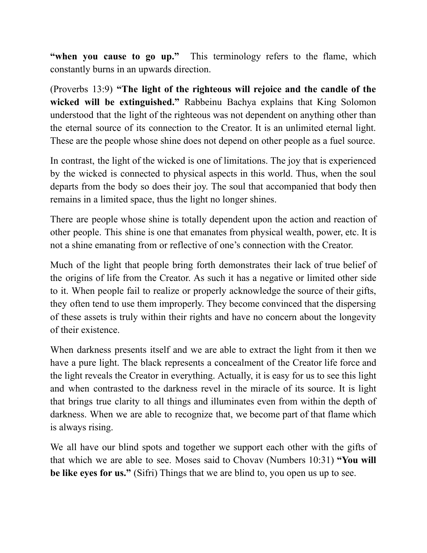**"when you cause to go up."** This terminology refers to the flame, which constantly burns in an upwards direction.

(Proverbs 13:9) **"The light of the righteous will rejoice and the candle of the wicked will be extinguished."** Rabbeinu Bachya explains that King Solomon understood that the light of the righteous was not dependent on anything other than the eternal source of its connection to the Creator. It is an unlimited eternal light. These are the people whose shine does not depend on other people as a fuel source.

In contrast, the light of the wicked is one of limitations. The joy that is experienced by the wicked is connected to physical aspects in this world. Thus, when the soul departs from the body so does their joy. The soul that accompanied that body then remains in a limited space, thus the light no longer shines.

There are people whose shine is totally dependent upon the action and reaction of other people. This shine is one that emanates from physical wealth, power, etc. It is not a shine emanating from or reflective of one's connection with the Creator.

Much of the light that people bring forth demonstrates their lack of true belief of the origins of life from the Creator. As such it has a negative or limited other side to it. When people fail to realize or properly acknowledge the source of their gifts, they often tend to use them improperly. They become convinced that the dispersing of these assets is truly within their rights and have no concern about the longevity of their existence.

When darkness presents itself and we are able to extract the light from it then we have a pure light. The black represents a concealment of the Creator life force and the light reveals the Creator in everything. Actually, it is easy for us to see this light and when contrasted to the darkness revel in the miracle of its source. It is light that brings true clarity to all things and illuminates even from within the depth of darkness. When we are able to recognize that, we become part of that flame which is always rising.

We all have our blind spots and together we support each other with the gifts of that which we are able to see. Moses said to Chovav (Numbers 10:31) **"You will be like eyes for us."** (Sifri) Things that we are blind to, you open us up to see.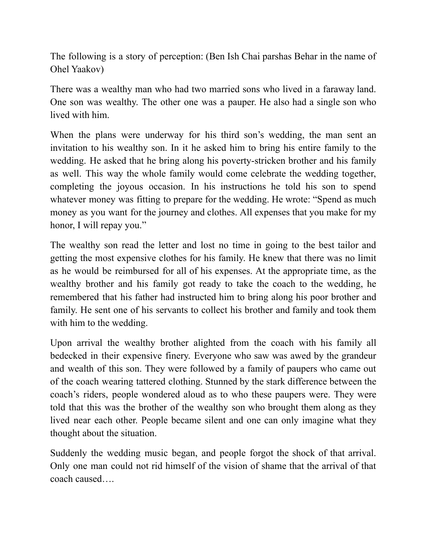The following is a story of perception: (Ben Ish Chai parshas Behar in the name of Ohel Yaakov)

There was a wealthy man who had two married sons who lived in a faraway land. One son was wealthy. The other one was a pauper. He also had a single son who lived with him.

When the plans were underway for his third son's wedding, the man sent an invitation to his wealthy son. In it he asked him to bring his entire family to the wedding. He asked that he bring along his poverty-stricken brother and his family as well. This way the whole family would come celebrate the wedding together, completing the joyous occasion. In his instructions he told his son to spend whatever money was fitting to prepare for the wedding. He wrote: "Spend as much money as you want for the journey and clothes. All expenses that you make for my honor, I will repay you."

The wealthy son read the letter and lost no time in going to the best tailor and getting the most expensive clothes for his family. He knew that there was no limit as he would be reimbursed for all of his expenses. At the appropriate time, as the wealthy brother and his family got ready to take the coach to the wedding, he remembered that his father had instructed him to bring along his poor brother and family. He sent one of his servants to collect his brother and family and took them with him to the wedding.

Upon arrival the wealthy brother alighted from the coach with his family all bedecked in their expensive finery. Everyone who saw was awed by the grandeur and wealth of this son. They were followed by a family of paupers who came out of the coach wearing tattered clothing. Stunned by the stark difference between the coach's riders, people wondered aloud as to who these paupers were. They were told that this was the brother of the wealthy son who brought them along as they lived near each other. People became silent and one can only imagine what they thought about the situation.

Suddenly the wedding music began, and people forgot the shock of that arrival. Only one man could not rid himself of the vision of shame that the arrival of that coach caused….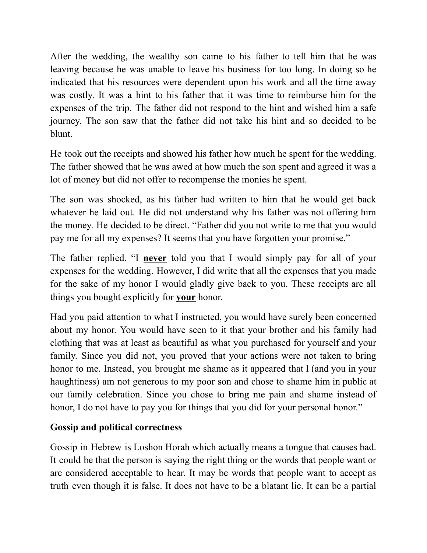After the wedding, the wealthy son came to his father to tell him that he was leaving because he was unable to leave his business for too long. In doing so he indicated that his resources were dependent upon his work and all the time away was costly. It was a hint to his father that it was time to reimburse him for the expenses of the trip. The father did not respond to the hint and wished him a safe journey. The son saw that the father did not take his hint and so decided to be blunt.

He took out the receipts and showed his father how much he spent for the wedding. The father showed that he was awed at how much the son spent and agreed it was a lot of money but did not offer to recompense the monies he spent.

The son was shocked, as his father had written to him that he would get back whatever he laid out. He did not understand why his father was not offering him the money. He decided to be direct. "Father did you not write to me that you would pay me for all my expenses? It seems that you have forgotten your promise."

The father replied. "I **never** told you that I would simply pay for all of your expenses for the wedding. However, I did write that all the expenses that you made for the sake of my honor I would gladly give back to you. These receipts are all things you bought explicitly for **your** honor.

Had you paid attention to what I instructed, you would have surely been concerned about my honor. You would have seen to it that your brother and his family had clothing that was at least as beautiful as what you purchased for yourself and your family. Since you did not, you proved that your actions were not taken to bring honor to me. Instead, you brought me shame as it appeared that I (and you in your haughtiness) am not generous to my poor son and chose to shame him in public at our family celebration. Since you chose to bring me pain and shame instead of honor, I do not have to pay you for things that you did for your personal honor."

### **Gossip and political correctness**

Gossip in Hebrew is Loshon Horah which actually means a tongue that causes bad. It could be that the person is saying the right thing or the words that people want or are considered acceptable to hear. It may be words that people want to accept as truth even though it is false. It does not have to be a blatant lie. It can be a partial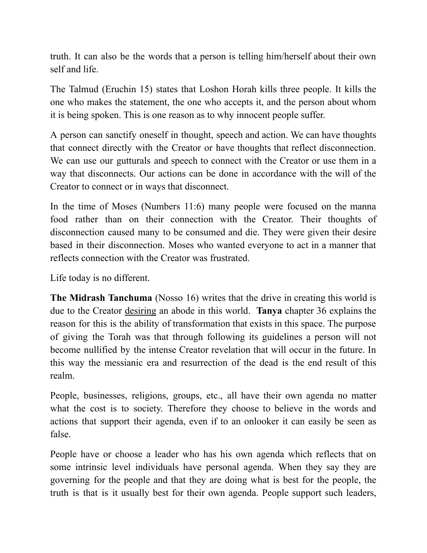truth. It can also be the words that a person is telling him/herself about their own self and life.

The Talmud (Eruchin 15) states that Loshon Horah kills three people. It kills the one who makes the statement, the one who accepts it, and the person about whom it is being spoken. This is one reason as to why innocent people suffer.

A person can sanctify oneself in thought, speech and action. We can have thoughts that connect directly with the Creator or have thoughts that reflect disconnection. We can use our gutturals and speech to connect with the Creator or use them in a way that disconnects. Our actions can be done in accordance with the will of the Creator to connect or in ways that disconnect.

In the time of Moses (Numbers 11:6) many people were focused on the manna food rather than on their connection with the Creator. Their thoughts of disconnection caused many to be consumed and die. They were given their desire based in their disconnection. Moses who wanted everyone to act in a manner that reflects connection with the Creator was frustrated.

Life today is no different.

**The Midrash Tanchuma** (Nosso 16) writes that the drive in creating this world is due to the Creator desiring an abode in this world. **Tanya** chapter 36 explains the reason for this is the ability of transformation that exists in this space. The purpose of giving the Torah was that through following its guidelines a person will not become nullified by the intense Creator revelation that will occur in the future. In this way the messianic era and resurrection of the dead is the end result of this realm.

People, businesses, religions, groups, etc., all have their own agenda no matter what the cost is to society. Therefore they choose to believe in the words and actions that support their agenda, even if to an onlooker it can easily be seen as false.

People have or choose a leader who has his own agenda which reflects that on some intrinsic level individuals have personal agenda. When they say they are governing for the people and that they are doing what is best for the people, the truth is that is it usually best for their own agenda. People support such leaders,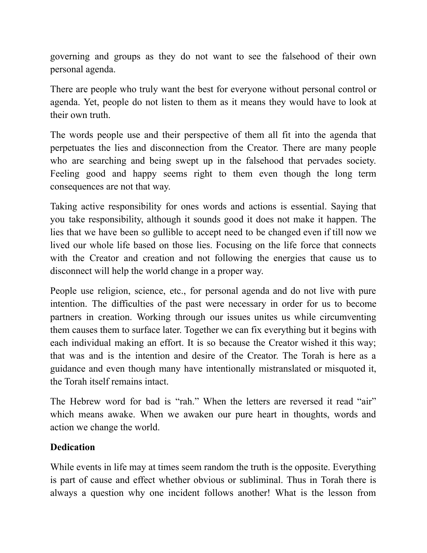governing and groups as they do not want to see the falsehood of their own personal agenda.

There are people who truly want the best for everyone without personal control or agenda. Yet, people do not listen to them as it means they would have to look at their own truth.

The words people use and their perspective of them all fit into the agenda that perpetuates the lies and disconnection from the Creator. There are many people who are searching and being swept up in the falsehood that pervades society. Feeling good and happy seems right to them even though the long term consequences are not that way.

Taking active responsibility for ones words and actions is essential. Saying that you take responsibility, although it sounds good it does not make it happen. The lies that we have been so gullible to accept need to be changed even if till now we lived our whole life based on those lies. Focusing on the life force that connects with the Creator and creation and not following the energies that cause us to disconnect will help the world change in a proper way.

People use religion, science, etc., for personal agenda and do not live with pure intention. The difficulties of the past were necessary in order for us to become partners in creation. Working through our issues unites us while circumventing them causes them to surface later. Together we can fix everything but it begins with each individual making an effort. It is so because the Creator wished it this way; that was and is the intention and desire of the Creator. The Torah is here as a guidance and even though many have intentionally mistranslated or misquoted it, the Torah itself remains intact.

The Hebrew word for bad is "rah." When the letters are reversed it read "air" which means awake. When we awaken our pure heart in thoughts, words and action we change the world.

### **Dedication**

While events in life may at times seem random the truth is the opposite. Everything is part of cause and effect whether obvious or subliminal. Thus in Torah there is always a question why one incident follows another! What is the lesson from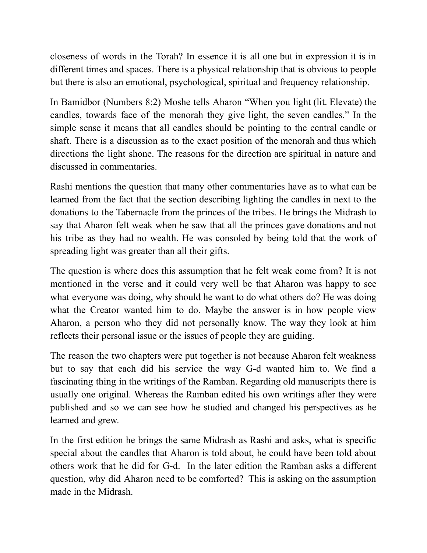closeness of words in the Torah? In essence it is all one but in expression it is in different times and spaces. There is a physical relationship that is obvious to people but there is also an emotional, psychological, spiritual and frequency relationship.

In Bamidbor (Numbers 8:2) Moshe tells Aharon "When you light (lit. Elevate) the candles, towards face of the menorah they give light, the seven candles." In the simple sense it means that all candles should be pointing to the central candle or shaft. There is a discussion as to the exact position of the menorah and thus which directions the light shone. The reasons for the direction are spiritual in nature and discussed in commentaries.

Rashi mentions the question that many other commentaries have as to what can be learned from the fact that the section describing lighting the candles in next to the donations to the Tabernacle from the princes of the tribes. He brings the Midrash to say that Aharon felt weak when he saw that all the princes gave donations and not his tribe as they had no wealth. He was consoled by being told that the work of spreading light was greater than all their gifts.

The question is where does this assumption that he felt weak come from? It is not mentioned in the verse and it could very well be that Aharon was happy to see what everyone was doing, why should he want to do what others do? He was doing what the Creator wanted him to do. Maybe the answer is in how people view Aharon, a person who they did not personally know. The way they look at him reflects their personal issue or the issues of people they are guiding.

The reason the two chapters were put together is not because Aharon felt weakness but to say that each did his service the way G-d wanted him to. We find a fascinating thing in the writings of the Ramban. Regarding old manuscripts there is usually one original. Whereas the Ramban edited his own writings after they were published and so we can see how he studied and changed his perspectives as he learned and grew.

In the first edition he brings the same Midrash as Rashi and asks, what is specific special about the candles that Aharon is told about, he could have been told about others work that he did for G-d. In the later edition the Ramban asks a different question, why did Aharon need to be comforted? This is asking on the assumption made in the Midrash.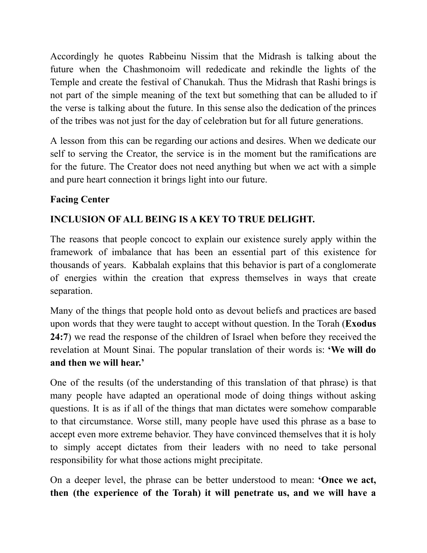Accordingly he quotes Rabbeinu Nissim that the Midrash is talking about the future when the Chashmonoim will rededicate and rekindle the lights of the Temple and create the festival of Chanukah. Thus the Midrash that Rashi brings is not part of the simple meaning of the text but something that can be alluded to if the verse is talking about the future. In this sense also the dedication of the princes of the tribes was not just for the day of celebration but for all future generations.

A lesson from this can be regarding our actions and desires. When we dedicate our self to serving the Creator, the service is in the moment but the ramifications are for the future. The Creator does not need anything but when we act with a simple and pure heart connection it brings light into our future.

## **Facing Center**

# **INCLUSION OF ALL BEING IS A KEY TO TRUE DELIGHT.**

The reasons that people concoct to explain our existence surely apply within the framework of imbalance that has been an essential part of this existence for thousands of years. Kabbalah explains that this behavior is part of a conglomerate of energies within the creation that express themselves in ways that create separation.

Many of the things that people hold onto as devout beliefs and practices are based upon words that they were taught to accept without question. In the Torah (**Exodus 24:7**) we read the response of the children of Israel when before they received the revelation at Mount Sinai. The popular translation of their words is: **'We will do and then we will hear.'**

One of the results (of the understanding of this translation of that phrase) is that many people have adapted an operational mode of doing things without asking questions. It is as if all of the things that man dictates were somehow comparable to that circumstance. Worse still, many people have used this phrase as a base to accept even more extreme behavior. They have convinced themselves that it is holy to simply accept dictates from their leaders with no need to take personal responsibility for what those actions might precipitate.

On a deeper level, the phrase can be better understood to mean: **'Once we act, then (the experience of the Torah) it will penetrate us, and we will have a**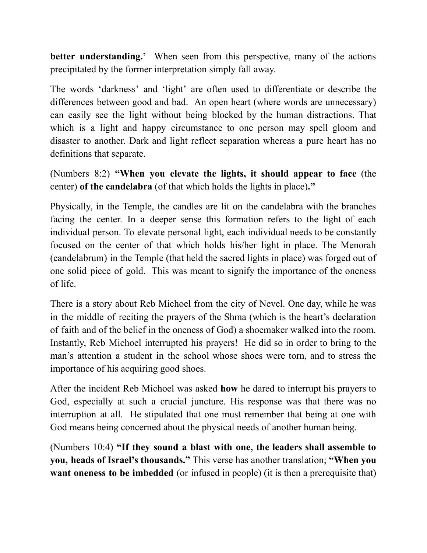**better understanding.'** When seen from this perspective, many of the actions precipitated by the former interpretation simply fall away.

The words 'darkness' and 'light' are often used to differentiate or describe the differences between good and bad. An open heart (where words are unnecessary) can easily see the light without being blocked by the human distractions. That which is a light and happy circumstance to one person may spell gloom and disaster to another. Dark and light reflect separation whereas a pure heart has no definitions that separate.

(Numbers 8:2) **"When you elevate the lights, it should appear to face** (the center) **of the candelabra** (of that which holds the lights in place)**."**

Physically, in the Temple, the candles are lit on the candelabra with the branches facing the center. In a deeper sense this formation refers to the light of each individual person. To elevate personal light, each individual needs to be constantly focused on the center of that which holds his/her light in place. The Menorah (candelabrum) in the Temple (that held the sacred lights in place) was forged out of one solid piece of gold. This was meant to signify the importance of the oneness of life.

There is a story about Reb Michoel from the city of Nevel. One day, while he was in the middle of reciting the prayers of the Shma (which is the heart's declaration of faith and of the belief in the oneness of God) a shoemaker walked into the room. Instantly, Reb Michoel interrupted his prayers! He did so in order to bring to the man's attention a student in the school whose shoes were torn, and to stress the importance of his acquiring good shoes.

After the incident Reb Michoel was asked **how** he dared to interrupt his prayers to God, especially at such a crucial juncture. His response was that there was no interruption at all. He stipulated that one must remember that being at one with God means being concerned about the physical needs of another human being.

(Numbers 10:4) **"If they sound a blast with one, the leaders shall assemble to you, heads of Israel's thousands."** This verse has another translation; **"When you want oneness to be imbedded** (or infused in people) (it is then a prerequisite that)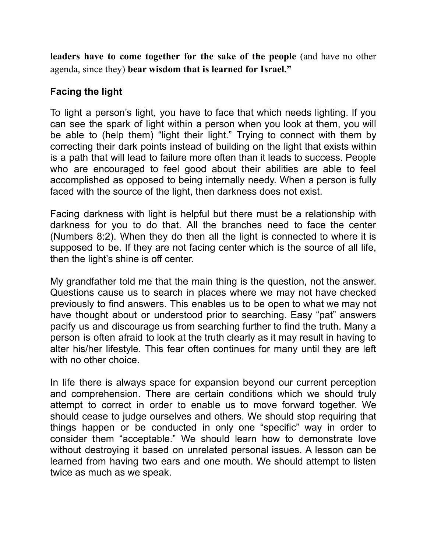**leaders have to come together for the sake of the people** (and have no other agenda, since they) **bear wisdom that is learned for Israel."**

## **Facing the light**

To light a person's light, you have to face that which needs lighting. If you can see the spark of light within a person when you look at them, you will be able to (help them) "light their light." Trying to connect with them by correcting their dark points instead of building on the light that exists within is a path that will lead to failure more often than it leads to success. People who are encouraged to feel good about their abilities are able to feel accomplished as opposed to being internally needy. When a person is fully faced with the source of the light, then darkness does not exist.

Facing darkness with light is helpful but there must be a relationship with darkness for you to do that. All the branches need to face the center (Numbers 8:2). When they do then all the light is connected to where it is supposed to be. If they are not facing center which is the source of all life, then the light's shine is off center.

My grandfather told me that the main thing is the question, not the answer. Questions cause us to search in places where we may not have checked previously to find answers. This enables us to be open to what we may not have thought about or understood prior to searching. Easy "pat" answers pacify us and discourage us from searching further to find the truth. Many a person is often afraid to look at the truth clearly as it may result in having to alter his/her lifestyle. This fear often continues for many until they are left with no other choice.

In life there is always space for expansion beyond our current perception and comprehension. There are certain conditions which we should truly attempt to correct in order to enable us to move forward together. We should cease to judge ourselves and others. We should stop requiring that things happen or be conducted in only one "specific" way in order to consider them "acceptable." We should learn how to demonstrate love without destroying it based on unrelated personal issues. A lesson can be learned from having two ears and one mouth. We should attempt to listen twice as much as we speak.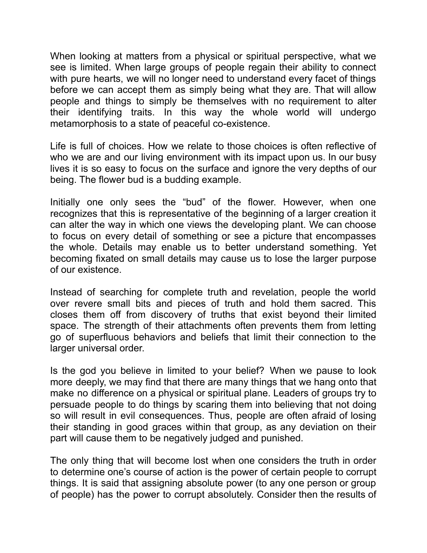When looking at matters from a physical or spiritual perspective, what we see is limited. When large groups of people regain their ability to connect with pure hearts, we will no longer need to understand every facet of things before we can accept them as simply being what they are. That will allow people and things to simply be themselves with no requirement to alter their identifying traits. In this way the whole world will undergo metamorphosis to a state of peaceful co-existence.

Life is full of choices. How we relate to those choices is often reflective of who we are and our living environment with its impact upon us. In our busy lives it is so easy to focus on the surface and ignore the very depths of our being. The flower bud is a budding example.

Initially one only sees the "bud" of the flower. However, when one recognizes that this is representative of the beginning of a larger creation it can alter the way in which one views the developing plant. We can choose to focus on every detail of something or see a picture that encompasses the whole. Details may enable us to better understand something. Yet becoming fixated on small details may cause us to lose the larger purpose of our existence.

Instead of searching for complete truth and revelation, people the world over revere small bits and pieces of truth and hold them sacred. This closes them off from discovery of truths that exist beyond their limited space. The strength of their attachments often prevents them from letting go of superfluous behaviors and beliefs that limit their connection to the larger universal order.

Is the god you believe in limited to your belief? When we pause to look more deeply, we may find that there are many things that we hang onto that make no difference on a physical or spiritual plane. Leaders of groups try to persuade people to do things by scaring them into believing that not doing so will result in evil consequences. Thus, people are often afraid of losing their standing in good graces within that group, as any deviation on their part will cause them to be negatively judged and punished.

The only thing that will become lost when one considers the truth in order to determine one's course of action is the power of certain people to corrupt things. It is said that assigning absolute power (to any one person or group of people) has the power to corrupt absolutely. Consider then the results of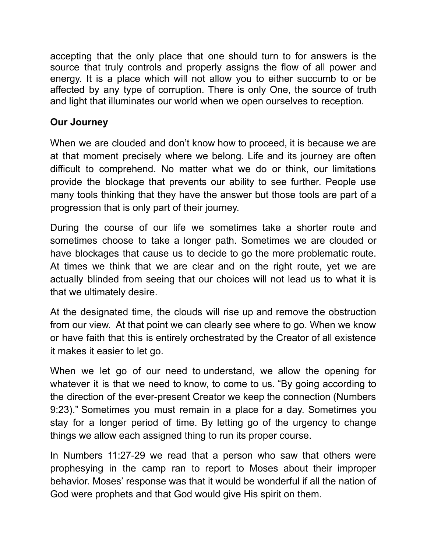accepting that the only place that one should turn to for answers is the source that truly controls and properly assigns the flow of all power and energy. It is a place which will not allow you to either succumb to or be affected by any type of corruption. There is only One, the source of truth and light that illuminates our world when we open ourselves to reception.

## **Our Journey**

When we are clouded and don't know how to proceed, it is because we are at that moment precisely where we belong. Life and its journey are often difficult to comprehend. No matter what we do or think, our limitations provide the blockage that prevents our ability to see further. People use many tools thinking that they have the answer but those tools are part of a progression that is only part of their journey.

During the course of our life we sometimes take a shorter route and sometimes choose to take a longer path. Sometimes we are clouded or have blockages that cause us to decide to go the more problematic route. At times we think that we are clear and on the right route, yet we are actually blinded from seeing that our choices will not lead us to what it is that we ultimately desire.

At the designated time, the clouds will rise up and remove the obstruction from our view. At that point we can clearly see where to go. When we know or have faith that this is entirely orchestrated by the Creator of all existence it makes it easier to let go.

When we let go of our need to understand, we allow the opening for whatever it is that we need to know, to come to us. "By going according to the direction of the ever-present Creator we keep the connection (Numbers 9:23)." Sometimes you must remain in a place for a day. Sometimes you stay for a longer period of time. By letting go of the urgency to change things we allow each assigned thing to run its proper course.

In Numbers 11:27-29 we read that a person who saw that others were prophesying in the camp ran to report to Moses about their improper behavior. Moses' response was that it would be wonderful if all the nation of God were prophets and that God would give His spirit on them.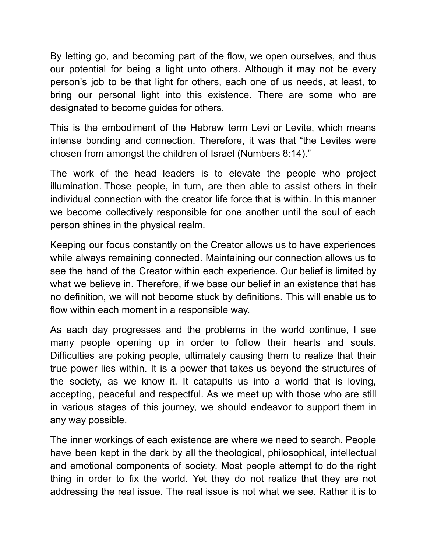By letting go, and becoming part of the flow, we open ourselves, and thus our potential for being a light unto others. Although it may not be every person's job to be that light for others, each one of us needs, at least, to bring our personal light into this existence. There are some who are designated to become guides for others.

This is the embodiment of the Hebrew term Levi or Levite, which means intense bonding and connection. Therefore, it was that "the Levites were chosen from amongst the children of Israel (Numbers 8:14)."

The work of the head leaders is to elevate the people who project illumination. Those people, in turn, are then able to assist others in their individual connection with the creator life force that is within. In this manner we become collectively responsible for one another until the soul of each person shines in the physical realm.

Keeping our focus constantly on the Creator allows us to have experiences while always remaining connected. Maintaining our connection allows us to see the hand of the Creator within each experience. Our belief is limited by what we believe in. Therefore, if we base our belief in an existence that has no definition, we will not become stuck by definitions. This will enable us to flow within each moment in a responsible way.

As each day progresses and the problems in the world continue, I see many people opening up in order to follow their hearts and souls. Difficulties are poking people, ultimately causing them to realize that their true power lies within. It is a power that takes us beyond the structures of the society, as we know it. It catapults us into a world that is loving, accepting, peaceful and respectful. As we meet up with those who are still in various stages of this journey, we should endeavor to support them in any way possible.

The inner workings of each existence are where we need to search. People have been kept in the dark by all the theological, philosophical, intellectual and emotional components of society. Most people attempt to do the right thing in order to fix the world. Yet they do not realize that they are not addressing the real issue. The real issue is not what we see. Rather it is to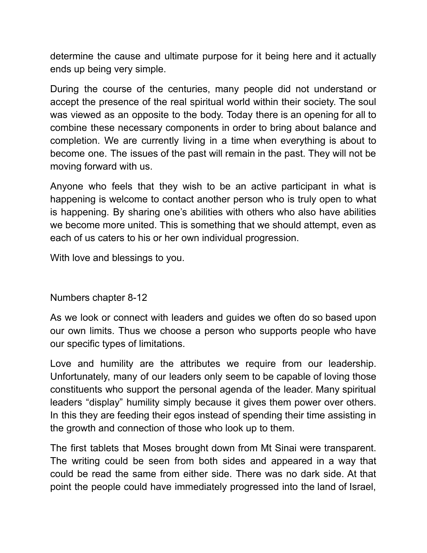determine the cause and ultimate purpose for it being here and it actually ends up being very simple.

During the course of the centuries, many people did not understand or accept the presence of the real spiritual world within their society. The soul was viewed as an opposite to the body. Today there is an opening for all to combine these necessary components in order to bring about balance and completion. We are currently living in a time when everything is about to become one. The issues of the past will remain in the past. They will not be moving forward with us.

Anyone who feels that they wish to be an active participant in what is happening is welcome to contact another person who is truly open to what is happening. By sharing one's abilities with others who also have abilities we become more united. This is something that we should attempt, even as each of us caters to his or her own individual progression.

With love and blessings to you.

## Numbers chapter 8-12

As we look or connect with leaders and guides we often do so based upon our own limits. Thus we choose a person who supports people who have our specific types of limitations.

Love and humility are the attributes we require from our leadership. Unfortunately, many of our leaders only seem to be capable of loving those constituents who support the personal agenda of the leader. Many spiritual leaders "display" humility simply because it gives them power over others. In this they are feeding their egos instead of spending their time assisting in the growth and connection of those who look up to them.

The first tablets that Moses brought down from Mt Sinai were transparent. The writing could be seen from both sides and appeared in a way that could be read the same from either side. There was no dark side. At that point the people could have immediately progressed into the land of Israel,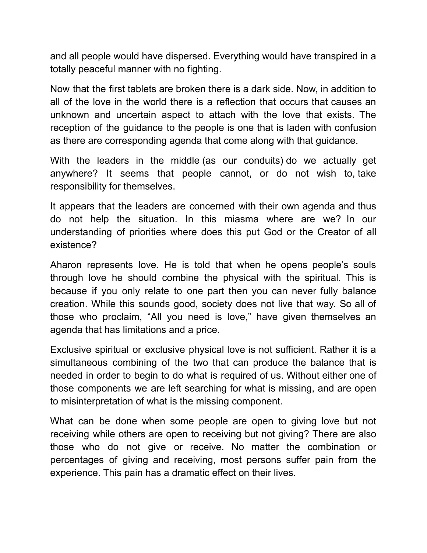and all people would have dispersed. Everything would have transpired in a totally peaceful manner with no fighting.

Now that the first tablets are broken there is a dark side. Now, in addition to all of the love in the world there is a reflection that occurs that causes an unknown and uncertain aspect to attach with the love that exists. The reception of the guidance to the people is one that is laden with confusion as there are corresponding agenda that come along with that guidance.

With the leaders in the middle (as our conduits) do we actually get anywhere? It seems that people cannot, or do not wish to, take responsibility for themselves.

It appears that the leaders are concerned with their own agenda and thus do not help the situation. In this miasma where are we? In our understanding of priorities where does this put God or the Creator of all existence?

Aharon represents love. He is told that when he opens people's souls through love he should combine the physical with the spiritual. This is because if you only relate to one part then you can never fully balance creation. While this sounds good, society does not live that way. So all of those who proclaim, "All you need is love," have given themselves an agenda that has limitations and a price.

Exclusive spiritual or exclusive physical love is not sufficient. Rather it is a simultaneous combining of the two that can produce the balance that is needed in order to begin to do what is required of us. Without either one of those components we are left searching for what is missing, and are open to misinterpretation of what is the missing component.

What can be done when some people are open to giving love but not receiving while others are open to receiving but not giving? There are also those who do not give or receive. No matter the combination or percentages of giving and receiving, most persons suffer pain from the experience. This pain has a dramatic effect on their lives.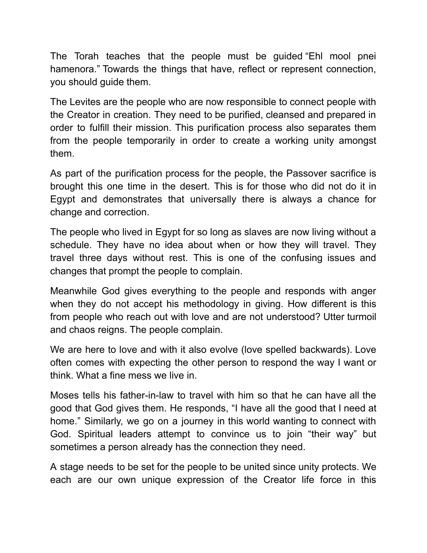The Torah teaches that the people must be guided "Ehl mool pnei hamenora." Towards the things that have, reflect or represent connection, you should guide them.

The Levites are the people who are now responsible to connect people with the Creator in creation. They need to be purified, cleansed and prepared in order to fulfill their mission. This purification process also separates them from the people temporarily in order to create a working unity amongst them.

As part of the purification process for the people, the Passover sacrifice is brought this one time in the desert. This is for those who did not do it in Egypt and demonstrates that universally there is always a chance for change and correction.

The people who lived in Egypt for so long as slaves are now living without a schedule. They have no idea about when or how they will travel. They travel three days without rest. This is one of the confusing issues and changes that prompt the people to complain.

Meanwhile God gives everything to the people and responds with anger when they do not accept his methodology in giving. How different is this from people who reach out with love and are not understood? Utter turmoil and chaos reigns. The people complain.

We are here to love and with it also evolve (love spelled backwards). Love often comes with expecting the other person to respond the way I want or think. What a fine mess we live in.

Moses tells his father-in-law to travel with him so that he can have all the good that God gives them. He responds, "I have all the good that I need at home." Similarly, we go on a journey in this world wanting to connect with God. Spiritual leaders attempt to convince us to join "their way" but sometimes a person already has the connection they need.

A stage needs to be set for the people to be united since unity protects. We each are our own unique expression of the Creator life force in this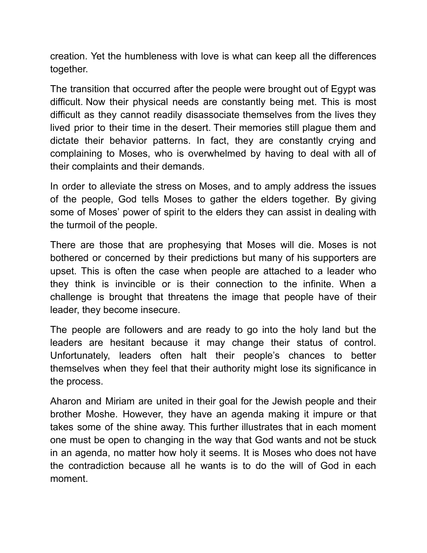creation. Yet the humbleness with love is what can keep all the differences together.

The transition that occurred after the people were brought out of Egypt was difficult. Now their physical needs are constantly being met. This is most difficult as they cannot readily disassociate themselves from the lives they lived prior to their time in the desert. Their memories still plague them and dictate their behavior patterns. In fact, they are constantly crying and complaining to Moses, who is overwhelmed by having to deal with all of their complaints and their demands.

In order to alleviate the stress on Moses, and to amply address the issues of the people, God tells Moses to gather the elders together. By giving some of Moses' power of spirit to the elders they can assist in dealing with the turmoil of the people.

There are those that are prophesying that Moses will die. Moses is not bothered or concerned by their predictions but many of his supporters are upset. This is often the case when people are attached to a leader who they think is invincible or is their connection to the infinite. When a challenge is brought that threatens the image that people have of their leader, they become insecure.

The people are followers and are ready to go into the holy land but the leaders are hesitant because it may change their status of control. Unfortunately, leaders often halt their people's chances to better themselves when they feel that their authority might lose its significance in the process.

Aharon and Miriam are united in their goal for the Jewish people and their brother Moshe. However, they have an agenda making it impure or that takes some of the shine away. This further illustrates that in each moment one must be open to changing in the way that God wants and not be stuck in an agenda, no matter how holy it seems. It is Moses who does not have the contradiction because all he wants is to do the will of God in each moment.